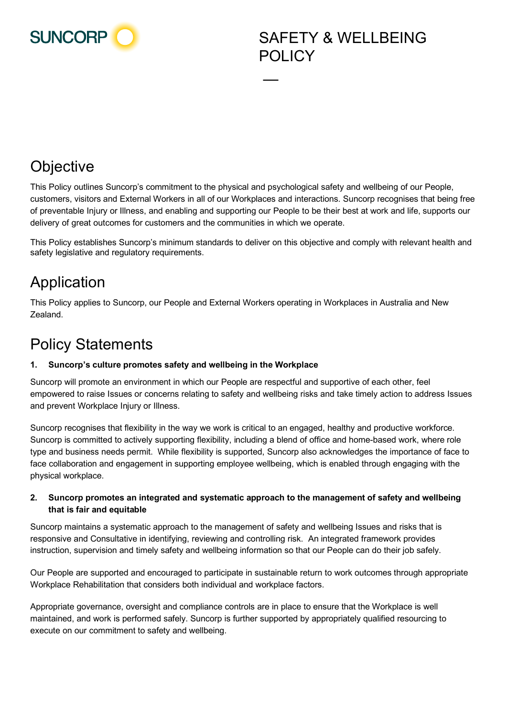

# **Objective**

This Policy outlines Suncorp's commitment to the physical and psychological safety and wellbeing of our People, customers, visitors and External Workers in all of our Workplaces and interactions. Suncorp recognises that being free of preventable Injury or Illness, and enabling and supporting our People to be their best at work and life, supports our delivery of great outcomes for customers and the communities in which we operate.

—

This Policy establishes Suncorp's minimum standards to deliver on this objective and comply with relevant health and safety legislative and regulatory requirements.

# Application

This Policy applies to Suncorp, our People and External Workers operating in Workplaces in Australia and New Zealand.

## Policy Statements

## **1. Suncorp's culture promotes safety and wellbeing in the Workplace**

Suncorp will promote an environment in which our People are respectful and supportive of each other, feel empowered to raise Issues or concerns relating to safety and wellbeing risks and take timely action to address Issues and prevent Workplace Injury or Illness.

Suncorp recognises that flexibility in the way we work is critical to an engaged, healthy and productive workforce. Suncorp is committed to actively supporting flexibility, including a blend of office and home-based work, where role type and business needs permit. While flexibility is supported, Suncorp also acknowledges the importance of face to face collaboration and engagement in supporting employee wellbeing, which is enabled through engaging with the physical workplace.

### **2. Suncorp promotes an integrated and systematic approach to the management of safety and wellbeing that is fair and equitable**

Suncorp maintains a systematic approach to the management of safety and wellbeing Issues and risks that is responsive and Consultative in identifying, reviewing and controlling risk. An integrated framework provides instruction, supervision and timely safety and wellbeing information so that our People can do their job safely.

Our People are supported and encouraged to participate in sustainable return to work outcomes through appropriate Workplace Rehabilitation that considers both individual and workplace factors.

Appropriate governance, oversight and compliance controls are in place to ensure that the Workplace is well maintained, and work is performed safely. Suncorp is further supported by appropriately qualified resourcing to execute on our commitment to safety and wellbeing.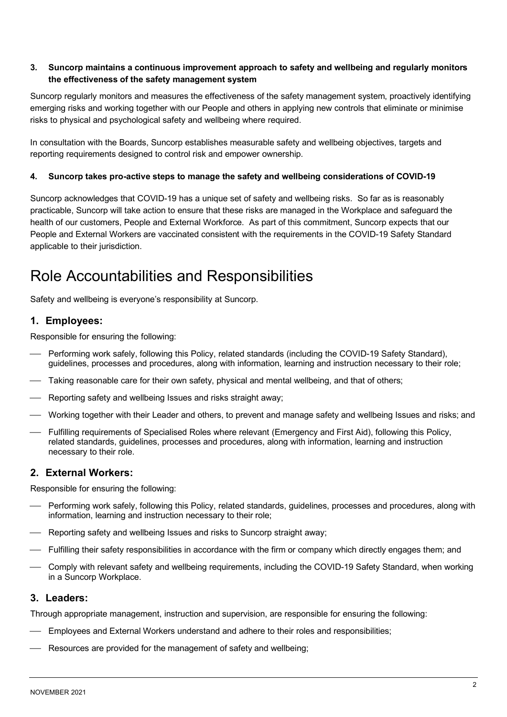### **3. Suncorp maintains a continuous improvement approach to safety and wellbeing and regularly monitors the effectiveness of the safety management system**

Suncorp regularly monitors and measures the effectiveness of the safety management system, proactively identifying emerging risks and working together with our People and others in applying new controls that eliminate or minimise risks to physical and psychological safety and wellbeing where required.

In consultation with the Boards, Suncorp establishes measurable safety and wellbeing objectives, targets and reporting requirements designed to control risk and empower ownership.

#### **4. Suncorp takes pro-active steps to manage the safety and wellbeing considerations of COVID-19**

Suncorp acknowledges that COVID-19 has a unique set of safety and wellbeing risks. So far as is reasonably practicable, Suncorp will take action to ensure that these risks are managed in the Workplace and safeguard the health of our customers, People and External Workforce. As part of this commitment, Suncorp expects that our People and External Workers are vaccinated consistent with the requirements in the COVID-19 Safety Standard applicable to their jurisdiction.

## Role Accountabilities and Responsibilities

Safety and wellbeing is everyone's responsibility at Suncorp.

### **1. Employees:**

Responsible for ensuring the following:

- Performing work safely, following this Policy, related standards (including the COVID-19 Safety Standard), guidelines, processes and procedures, along with information, learning and instruction necessary to their role;
- Taking reasonable care for their own safety, physical and mental wellbeing, and that of others;
- Reporting safety and wellbeing Issues and risks straight away;
- Working together with their Leader and others, to prevent and manage safety and wellbeing Issues and risks; and
- Fulfilling requirements of Specialised Roles where relevant (Emergency and First Aid), following this Policy, related standards, guidelines, processes and procedures, along with information, learning and instruction necessary to their role.

### **2. External Workers:**

Responsible for ensuring the following:

- Performing work safely, following this Policy, related standards, guidelines, processes and procedures, along with information, learning and instruction necessary to their role;
- Reporting safety and wellbeing Issues and risks to Suncorp straight away;
- Fulfilling their safety responsibilities in accordance with the firm or company which directly engages them; and
- Comply with relevant safety and wellbeing requirements, including the COVID-19 Safety Standard, when working in a Suncorp Workplace.

#### **3. Leaders:**

Through appropriate management, instruction and supervision, are responsible for ensuring the following:

- Employees and External Workers understand and adhere to their roles and responsibilities;
- Resources are provided for the management of safety and wellbeing;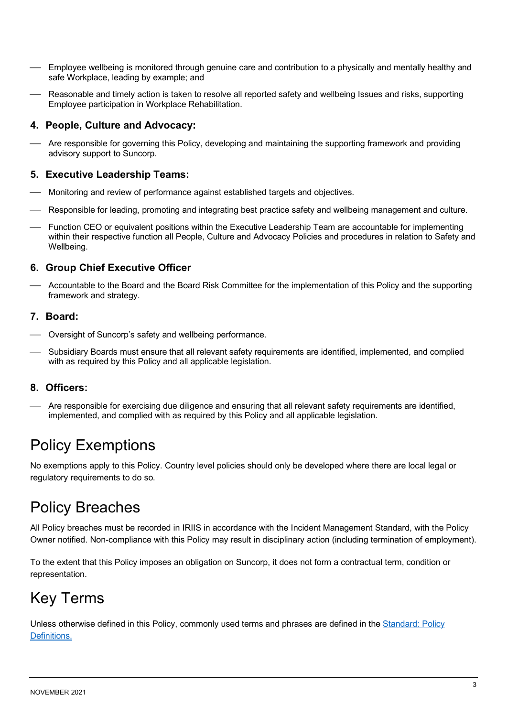- Employee wellbeing is monitored through genuine care and contribution to a physically and mentally healthy and safe Workplace, leading by example; and
- Reasonable and timely action is taken to resolve all reported safety and wellbeing Issues and risks, supporting Employee participation in Workplace Rehabilitation.

## **4. People, Culture and Advocacy:**

 Are responsible for governing this Policy, developing and maintaining the supporting framework and providing advisory support to Suncorp.

## **5. Executive Leadership Teams:**

- Monitoring and review of performance against established targets and objectives.
- Responsible for leading, promoting and integrating best practice safety and wellbeing management and culture.
- Function CEO or equivalent positions within the Executive Leadership Team are accountable for implementing within their respective function all People, Culture and Advocacy Policies and procedures in relation to Safety and Wellbeing.

## **6. Group Chief Executive Officer**

 Accountable to the Board and the Board Risk Committee for the implementation of this Policy and the supporting framework and strategy.

### **7. Board:**

- Oversight of Suncorp's safety and wellbeing performance.
- Subsidiary Boards must ensure that all relevant safety requirements are identified, implemented, and complied with as required by this Policy and all applicable legislation.

## **8. Officers:**

 Are responsible for exercising due diligence and ensuring that all relevant safety requirements are identified, implemented, and complied with as required by this Policy and all applicable legislation.

## Policy Exemptions

No exemptions apply to this Policy. Country level policies should only be developed where there are local legal or regulatory requirements to do so.

## Policy Breaches

All Policy breaches must be recorded in IRIIS in accordance with the Incident Management Standard, with the Policy Owner notified. Non-compliance with this Policy may result in disciplinary action (including termination of employment).

To the extent that this Policy imposes an obligation on Suncorp, it does not form a contractual term, condition or representation.

## Key Terms

Unless otherwise defined in this Policy, commonly used terms and phrases are defined in the [Standard: Policy](http://info.int.corp.sun/risk/Documents/Standard%20Definitions%20Document.pdf)  [Definitions.](http://info.int.corp.sun/risk/Documents/Standard%20Definitions%20Document.pdf)